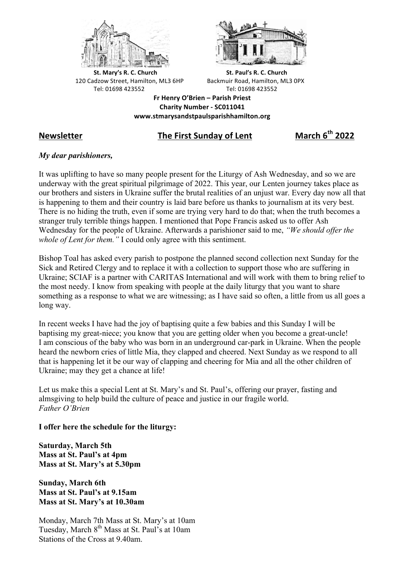



**St.** Mary's R. C. Church St. Paul's R. C. Church 120 Cadzow Street, Hamilton, ML3 6HP Backmuir Road, Hamilton, ML3 0PX Tel: 01698 423552 Tel: 01698 423552

**Fr Henry O'Brien – Parish Priest Charity Number - SC011041 www.stmarysandstpaulsparishhamilton.org**

# **Newsletter The First Sunday of Lent March 6th 2022**

## *My dear parishioners,*

It was uplifting to have so many people present for the Liturgy of Ash Wednesday, and so we are underway with the great spiritual pilgrimage of 2022. This year, our Lenten journey takes place as our brothers and sisters in Ukraine suffer the brutal realities of an unjust war. Every day now all that is happening to them and their country is laid bare before us thanks to journalism at its very best. There is no hiding the truth, even if some are trying very hard to do that; when the truth becomes a stranger truly terrible things happen. I mentioned that Pope Francis asked us to offer Ash Wednesday for the people of Ukraine. Afterwards a parishioner said to me, *"We should offer the whole of Lent for them."* I could only agree with this sentiment.

Bishop Toal has asked every parish to postpone the planned second collection next Sunday for the Sick and Retired Clergy and to replace it with a collection to support those who are suffering in Ukraine; SCIAF is a partner with CARITAS International and will work with them to bring relief to the most needy. I know from speaking with people at the daily liturgy that you want to share something as a response to what we are witnessing; as I have said so often, a little from us all goes a long way.

In recent weeks I have had the joy of baptising quite a few babies and this Sunday I will be baptising my great-niece; you know that you are getting older when you become a great-uncle! I am conscious of the baby who was born in an underground car-park in Ukraine. When the people heard the newborn cries of little Mia, they clapped and cheered. Next Sunday as we respond to all that is happening let it be our way of clapping and cheering for Mia and all the other children of Ukraine; may they get a chance at life!

Let us make this a special Lent at St. Mary's and St. Paul's, offering our prayer, fasting and almsgiving to help build the culture of peace and justice in our fragile world. *Father O'Brien*

## **I offer here the schedule for the liturgy:**

**Saturday, March 5th Mass at St. Paul's at 4pm Mass at St. Mary's at 5.30pm**

**Sunday, March 6th Mass at St. Paul's at 9.15am Mass at St. Mary's at 10.30am**

Monday, March 7th Mass at St. Mary's at 10am Tuesday, March 8<sup>th</sup> Mass at St. Paul's at 10am Stations of the Cross at 9.40am.